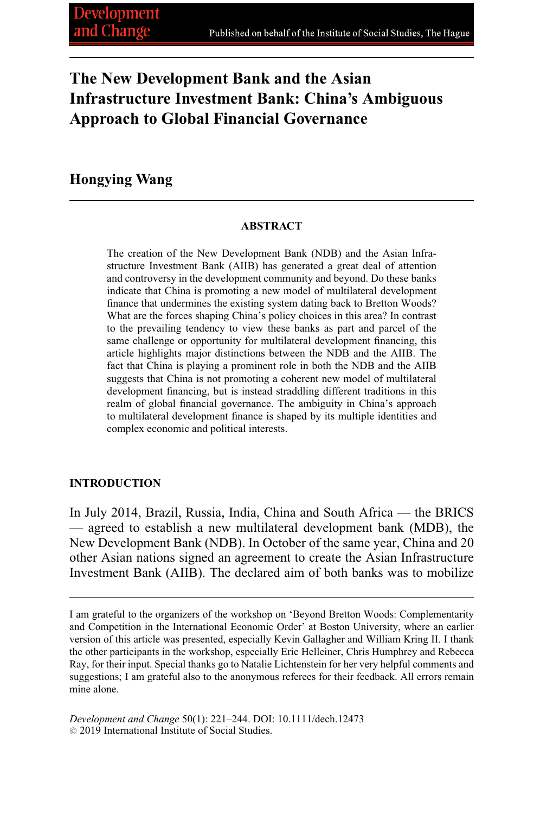# **The New Development Bank and the Asian Infrastructure Investment Bank: China's Ambiguous Approach to Global Financial Governance**

**Hongying Wang**

### **ABSTRACT**

The creation of the New Development Bank (NDB) and the Asian Infrastructure Investment Bank (AIIB) has generated a great deal of attention and controversy in the development community and beyond. Do these banks indicate that China is promoting a new model of multilateral development finance that undermines the existing system dating back to Bretton Woods? What are the forces shaping China's policy choices in this area? In contrast to the prevailing tendency to view these banks as part and parcel of the same challenge or opportunity for multilateral development financing, this article highlights major distinctions between the NDB and the AIIB. The fact that China is playing a prominent role in both the NDB and the AIIB suggests that China is not promoting a coherent new model of multilateral development financing, but is instead straddling different traditions in this realm of global financial governance. The ambiguity in China's approach to multilateral development finance is shaped by its multiple identities and complex economic and political interests.

## **INTRODUCTION**

In July 2014, Brazil, Russia, India, China and South Africa — the BRICS — agreed to establish a new multilateral development bank (MDB), the New Development Bank (NDB). In October of the same year, China and 20 other Asian nations signed an agreement to create the Asian Infrastructure Investment Bank (AIIB). The declared aim of both banks was to mobilize

*Development and Change* 50(1): 221–244. DOI: 10.1111/dech.12473  $© 2019 International Institute of Social Studies.$ 

I am grateful to the organizers of the workshop on 'Beyond Bretton Woods: Complementarity and Competition in the International Economic Order' at Boston University, where an earlier version of this article was presented, especially Kevin Gallagher and William Kring II. I thank the other participants in the workshop, especially Eric Helleiner, Chris Humphrey and Rebecca Ray, for their input. Special thanks go to Natalie Lichtenstein for her very helpful comments and suggestions; I am grateful also to the anonymous referees for their feedback. All errors remain mine alone.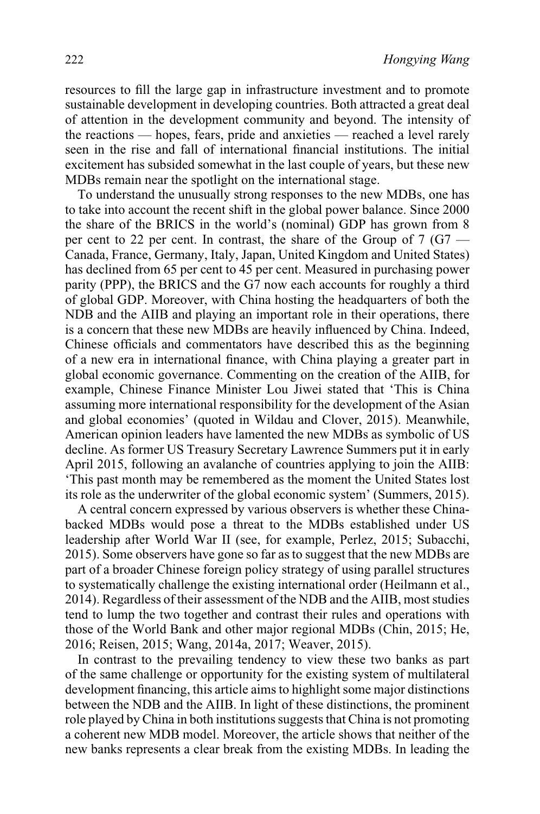resources to fill the large gap in infrastructure investment and to promote sustainable development in developing countries. Both attracted a great deal of attention in the development community and beyond. The intensity of the reactions — hopes, fears, pride and anxieties — reached a level rarely seen in the rise and fall of international financial institutions. The initial excitement has subsided somewhat in the last couple of years, but these new MDBs remain near the spotlight on the international stage.

To understand the unusually strong responses to the new MDBs, one has to take into account the recent shift in the global power balance. Since 2000 the share of the BRICS in the world's (nominal) GDP has grown from 8 per cent to 22 per cent. In contrast, the share of the Group of 7 (G7 — Canada, France, Germany, Italy, Japan, United Kingdom and United States) has declined from 65 per cent to 45 per cent. Measured in purchasing power parity (PPP), the BRICS and the G7 now each accounts for roughly a third of global GDP. Moreover, with China hosting the headquarters of both the NDB and the AIIB and playing an important role in their operations, there is a concern that these new MDBs are heavily influenced by China. Indeed, Chinese officials and commentators have described this as the beginning of a new era in international finance, with China playing a greater part in global economic governance. Commenting on the creation of the AIIB, for example, Chinese Finance Minister Lou Jiwei stated that 'This is China assuming more international responsibility for the development of the Asian and global economies' (quoted in Wildau and Clover, 2015). Meanwhile, American opinion leaders have lamented the new MDBs as symbolic of US decline. As former US Treasury Secretary Lawrence Summers put it in early April 2015, following an avalanche of countries applying to join the AIIB: 'This past month may be remembered as the moment the United States lost its role as the underwriter of the global economic system' (Summers, 2015).

A central concern expressed by various observers is whether these Chinabacked MDBs would pose a threat to the MDBs established under US leadership after World War II (see, for example, Perlez, 2015; Subacchi, 2015). Some observers have gone so far as to suggest that the new MDBs are part of a broader Chinese foreign policy strategy of using parallel structures to systematically challenge the existing international order (Heilmann et al., 2014). Regardless of their assessment of the NDB and the AIIB, most studies tend to lump the two together and contrast their rules and operations with those of the World Bank and other major regional MDBs (Chin, 2015; He, 2016; Reisen, 2015; Wang, 2014a, 2017; Weaver, 2015).

In contrast to the prevailing tendency to view these two banks as part of the same challenge or opportunity for the existing system of multilateral development financing, this article aims to highlight some major distinctions between the NDB and the AIIB. In light of these distinctions, the prominent role played by China in both institutions suggests that China is not promoting a coherent new MDB model. Moreover, the article shows that neither of the new banks represents a clear break from the existing MDBs. In leading the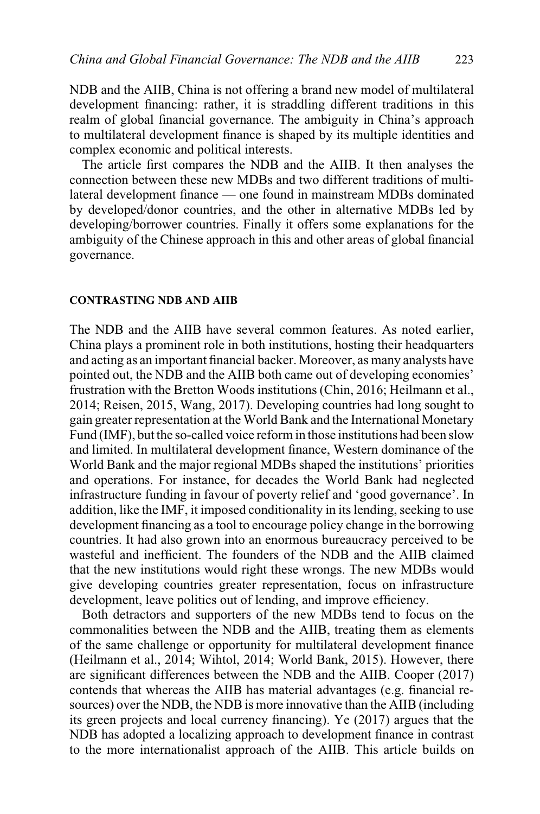NDB and the AIIB, China is not offering a brand new model of multilateral development financing: rather, it is straddling different traditions in this realm of global financial governance. The ambiguity in China's approach to multilateral development finance is shaped by its multiple identities and complex economic and political interests.

The article first compares the NDB and the AIIB. It then analyses the connection between these new MDBs and two different traditions of multilateral development finance — one found in mainstream MDBs dominated by developed/donor countries, and the other in alternative MDBs led by developing/borrower countries. Finally it offers some explanations for the ambiguity of the Chinese approach in this and other areas of global financial governance.

#### **CONTRASTING NDB AND AIIB**

The NDB and the AIIB have several common features. As noted earlier, China plays a prominent role in both institutions, hosting their headquarters and acting as an important financial backer. Moreover, as many analysts have pointed out, the NDB and the AIIB both came out of developing economies' frustration with the Bretton Woods institutions (Chin, 2016; Heilmann et al., 2014; Reisen, 2015, Wang, 2017). Developing countries had long sought to gain greater representation at the World Bank and the International Monetary Fund (IMF), but the so-called voice reform in those institutions had been slow and limited. In multilateral development finance, Western dominance of the World Bank and the major regional MDBs shaped the institutions' priorities and operations. For instance, for decades the World Bank had neglected infrastructure funding in favour of poverty relief and 'good governance'. In addition, like the IMF, it imposed conditionality in its lending, seeking to use development financing as a tool to encourage policy change in the borrowing countries. It had also grown into an enormous bureaucracy perceived to be wasteful and inefficient. The founders of the NDB and the AIIB claimed that the new institutions would right these wrongs. The new MDBs would give developing countries greater representation, focus on infrastructure development, leave politics out of lending, and improve efficiency.

Both detractors and supporters of the new MDBs tend to focus on the commonalities between the NDB and the AIIB, treating them as elements of the same challenge or opportunity for multilateral development finance (Heilmann et al., 2014; Wihtol, 2014; World Bank, 2015). However, there are significant differences between the NDB and the AIIB. Cooper (2017) contends that whereas the AIIB has material advantages (e.g. financial resources) over the NDB, the NDB is more innovative than the AIIB (including its green projects and local currency financing). Ye (2017) argues that the NDB has adopted a localizing approach to development finance in contrast to the more internationalist approach of the AIIB. This article builds on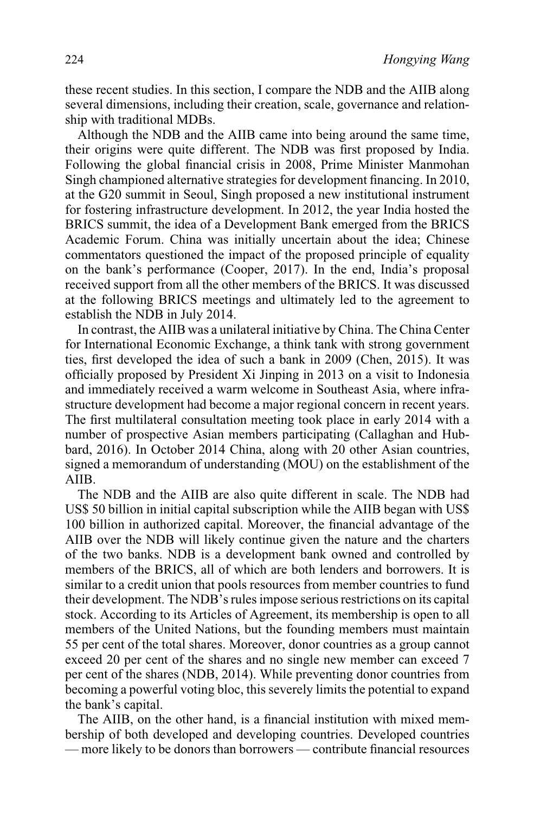these recent studies. In this section, I compare the NDB and the AIIB along several dimensions, including their creation, scale, governance and relationship with traditional MDBs.

Although the NDB and the AIIB came into being around the same time, their origins were quite different. The NDB was first proposed by India. Following the global financial crisis in 2008, Prime Minister Manmohan Singh championed alternative strategies for development financing. In 2010, at the G20 summit in Seoul, Singh proposed a new institutional instrument for fostering infrastructure development. In 2012, the year India hosted the BRICS summit, the idea of a Development Bank emerged from the BRICS Academic Forum. China was initially uncertain about the idea; Chinese commentators questioned the impact of the proposed principle of equality on the bank's performance (Cooper, 2017). In the end, India's proposal received support from all the other members of the BRICS. It was discussed at the following BRICS meetings and ultimately led to the agreement to establish the NDB in July 2014.

In contrast, the AIIB was a unilateral initiative by China. The China Center for International Economic Exchange, a think tank with strong government ties, first developed the idea of such a bank in 2009 (Chen, 2015). It was officially proposed by President Xi Jinping in 2013 on a visit to Indonesia and immediately received a warm welcome in Southeast Asia, where infrastructure development had become a major regional concern in recent years. The first multilateral consultation meeting took place in early 2014 with a number of prospective Asian members participating (Callaghan and Hubbard, 2016). In October 2014 China, along with 20 other Asian countries, signed a memorandum of understanding (MOU) on the establishment of the AIIB.

The NDB and the AIIB are also quite different in scale. The NDB had US\$ 50 billion in initial capital subscription while the AIIB began with US\$ 100 billion in authorized capital. Moreover, the financial advantage of the AIIB over the NDB will likely continue given the nature and the charters of the two banks. NDB is a development bank owned and controlled by members of the BRICS, all of which are both lenders and borrowers. It is similar to a credit union that pools resources from member countries to fund their development. The NDB's rules impose serious restrictions on its capital stock. According to its Articles of Agreement, its membership is open to all members of the United Nations, but the founding members must maintain 55 per cent of the total shares. Moreover, donor countries as a group cannot exceed 20 per cent of the shares and no single new member can exceed 7 per cent of the shares (NDB, 2014). While preventing donor countries from becoming a powerful voting bloc, this severely limits the potential to expand the bank's capital.

The AIIB, on the other hand, is a financial institution with mixed membership of both developed and developing countries. Developed countries — more likely to be donors than borrowers — contribute financial resources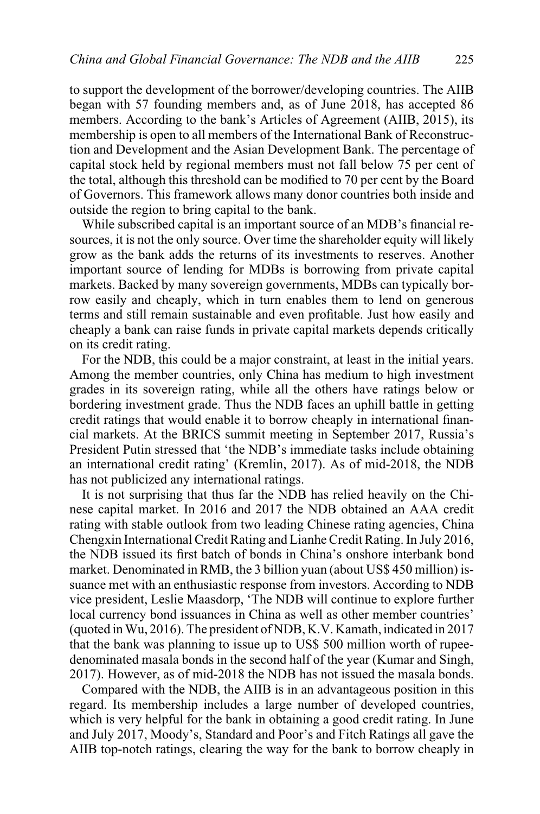to support the development of the borrower/developing countries. The AIIB began with 57 founding members and, as of June 2018, has accepted 86 members. According to the bank's Articles of Agreement (AIIB, 2015), its membership is open to all members of the International Bank of Reconstruction and Development and the Asian Development Bank. The percentage of capital stock held by regional members must not fall below 75 per cent of the total, although this threshold can be modified to 70 per cent by the Board of Governors. This framework allows many donor countries both inside and outside the region to bring capital to the bank.

While subscribed capital is an important source of an MDB's financial resources, it is not the only source. Over time the shareholder equity will likely grow as the bank adds the returns of its investments to reserves. Another important source of lending for MDBs is borrowing from private capital markets. Backed by many sovereign governments, MDBs can typically borrow easily and cheaply, which in turn enables them to lend on generous terms and still remain sustainable and even profitable. Just how easily and cheaply a bank can raise funds in private capital markets depends critically on its credit rating.

For the NDB, this could be a major constraint, at least in the initial years. Among the member countries, only China has medium to high investment grades in its sovereign rating, while all the others have ratings below or bordering investment grade. Thus the NDB faces an uphill battle in getting credit ratings that would enable it to borrow cheaply in international financial markets. At the BRICS summit meeting in September 2017, Russia's President Putin stressed that 'the NDB's immediate tasks include obtaining an international credit rating' (Kremlin, 2017). As of mid-2018, the NDB has not publicized any international ratings.

It is not surprising that thus far the NDB has relied heavily on the Chinese capital market. In 2016 and 2017 the NDB obtained an AAA credit rating with stable outlook from two leading Chinese rating agencies, China Chengxin International Credit Rating and Lianhe Credit Rating. In July 2016, the NDB issued its first batch of bonds in China's onshore interbank bond market. Denominated in RMB, the 3 billion yuan (about US\$ 450 million) issuance met with an enthusiastic response from investors. According to NDB vice president, Leslie Maasdorp, 'The NDB will continue to explore further local currency bond issuances in China as well as other member countries' (quoted inWu, 2016). The president of NDB, K.V. Kamath, indicated in 2017 that the bank was planning to issue up to US\$ 500 million worth of rupeedenominated masala bonds in the second half of the year (Kumar and Singh, 2017). However, as of mid-2018 the NDB has not issued the masala bonds.

Compared with the NDB, the AIIB is in an advantageous position in this regard. Its membership includes a large number of developed countries, which is very helpful for the bank in obtaining a good credit rating. In June and July 2017, Moody's, Standard and Poor's and Fitch Ratings all gave the AIIB top-notch ratings, clearing the way for the bank to borrow cheaply in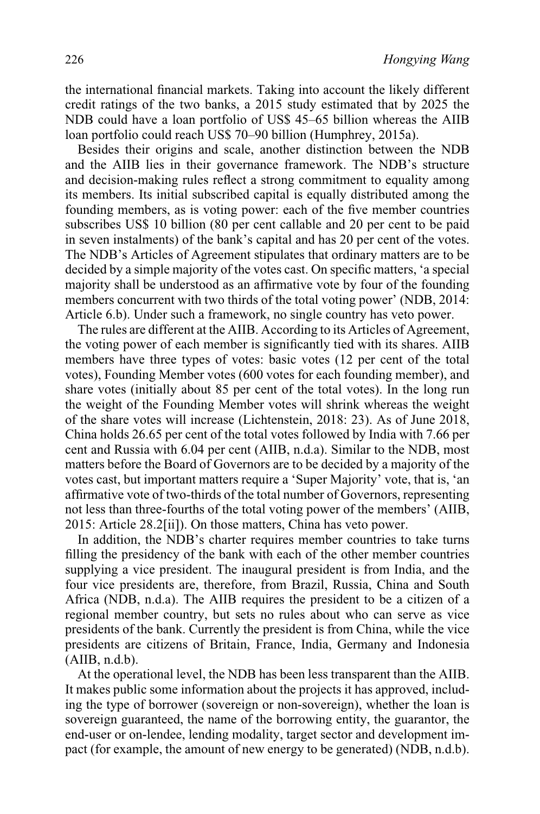the international financial markets. Taking into account the likely different credit ratings of the two banks, a 2015 study estimated that by 2025 the NDB could have a loan portfolio of US\$ 45–65 billion whereas the AIIB loan portfolio could reach US\$ 70–90 billion (Humphrey, 2015a).

Besides their origins and scale, another distinction between the NDB and the AIIB lies in their governance framework. The NDB's structure and decision-making rules reflect a strong commitment to equality among its members. Its initial subscribed capital is equally distributed among the founding members, as is voting power: each of the five member countries subscribes US\$ 10 billion (80 per cent callable and 20 per cent to be paid in seven instalments) of the bank's capital and has 20 per cent of the votes. The NDB's Articles of Agreement stipulates that ordinary matters are to be decided by a simple majority of the votes cast. On specific matters, 'a special majority shall be understood as an affirmative vote by four of the founding members concurrent with two thirds of the total voting power' (NDB, 2014: Article 6.b). Under such a framework, no single country has veto power.

The rules are different at the AIIB. According to its Articles of Agreement, the voting power of each member is significantly tied with its shares. AIIB members have three types of votes: basic votes (12 per cent of the total votes), Founding Member votes (600 votes for each founding member), and share votes (initially about 85 per cent of the total votes). In the long run the weight of the Founding Member votes will shrink whereas the weight of the share votes will increase (Lichtenstein, 2018: 23). As of June 2018, China holds 26.65 per cent of the total votes followed by India with 7.66 per cent and Russia with 6.04 per cent (AIIB, n.d.a). Similar to the NDB, most matters before the Board of Governors are to be decided by a majority of the votes cast, but important matters require a 'Super Majority' vote, that is, 'an affirmative vote of two-thirds of the total number of Governors, representing not less than three-fourths of the total voting power of the members' (AIIB, 2015: Article 28.2[ii]). On those matters, China has veto power.

In addition, the NDB's charter requires member countries to take turns filling the presidency of the bank with each of the other member countries supplying a vice president. The inaugural president is from India, and the four vice presidents are, therefore, from Brazil, Russia, China and South Africa (NDB, n.d.a). The AIIB requires the president to be a citizen of a regional member country, but sets no rules about who can serve as vice presidents of the bank. Currently the president is from China, while the vice presidents are citizens of Britain, France, India, Germany and Indonesia (AIIB, n.d.b).

At the operational level, the NDB has been less transparent than the AIIB. It makes public some information about the projects it has approved, including the type of borrower (sovereign or non-sovereign), whether the loan is sovereign guaranteed, the name of the borrowing entity, the guarantor, the end-user or on-lendee, lending modality, target sector and development impact (for example, the amount of new energy to be generated) (NDB, n.d.b).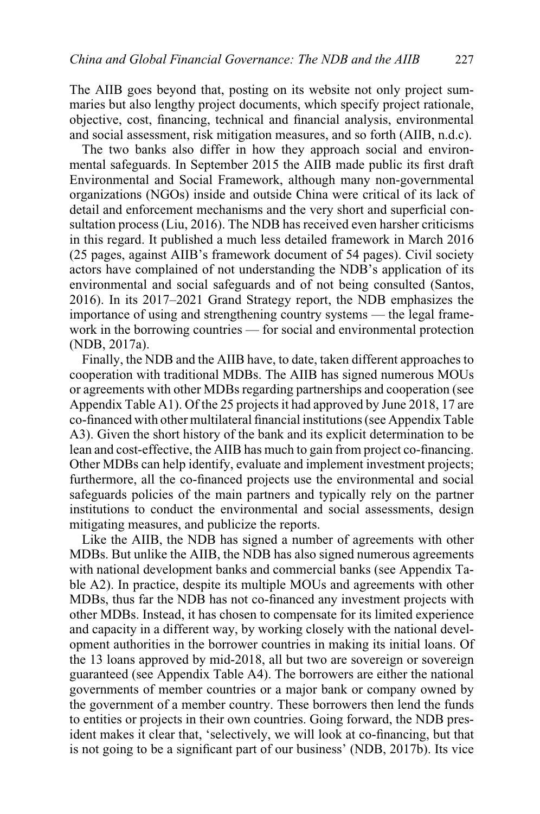The AIIB goes beyond that, posting on its website not only project summaries but also lengthy project documents, which specify project rationale, objective, cost, financing, technical and financial analysis, environmental and social assessment, risk mitigation measures, and so forth (AIIB, n.d.c).

The two banks also differ in how they approach social and environmental safeguards. In September 2015 the AIIB made public its first draft Environmental and Social Framework, although many non-governmental organizations (NGOs) inside and outside China were critical of its lack of detail and enforcement mechanisms and the very short and superficial consultation process (Liu, 2016). The NDB has received even harsher criticisms in this regard. It published a much less detailed framework in March 2016 (25 pages, against AIIB's framework document of 54 pages). Civil society actors have complained of not understanding the NDB's application of its environmental and social safeguards and of not being consulted (Santos, 2016). In its 2017–2021 Grand Strategy report, the NDB emphasizes the importance of using and strengthening country systems — the legal framework in the borrowing countries — for social and environmental protection (NDB, 2017a).

Finally, the NDB and the AIIB have, to date, taken different approaches to cooperation with traditional MDBs. The AIIB has signed numerous MOUs or agreements with other MDBs regarding partnerships and cooperation (see Appendix Table A1). Of the 25 projects it had approved by June 2018, 17 are co-financed with other multilateral financial institutions (see Appendix Table A3). Given the short history of the bank and its explicit determination to be lean and cost-effective, the AIIB has much to gain from project co-financing. Other MDBs can help identify, evaluate and implement investment projects; furthermore, all the co-financed projects use the environmental and social safeguards policies of the main partners and typically rely on the partner institutions to conduct the environmental and social assessments, design mitigating measures, and publicize the reports.

Like the AIIB, the NDB has signed a number of agreements with other MDBs. But unlike the AIIB, the NDB has also signed numerous agreements with national development banks and commercial banks (see Appendix Table A2). In practice, despite its multiple MOUs and agreements with other MDBs, thus far the NDB has not co-financed any investment projects with other MDBs. Instead, it has chosen to compensate for its limited experience and capacity in a different way, by working closely with the national development authorities in the borrower countries in making its initial loans. Of the 13 loans approved by mid-2018, all but two are sovereign or sovereign guaranteed (see Appendix Table A4). The borrowers are either the national governments of member countries or a major bank or company owned by the government of a member country. These borrowers then lend the funds to entities or projects in their own countries. Going forward, the NDB president makes it clear that, 'selectively, we will look at co-financing, but that is not going to be a significant part of our business' (NDB, 2017b). Its vice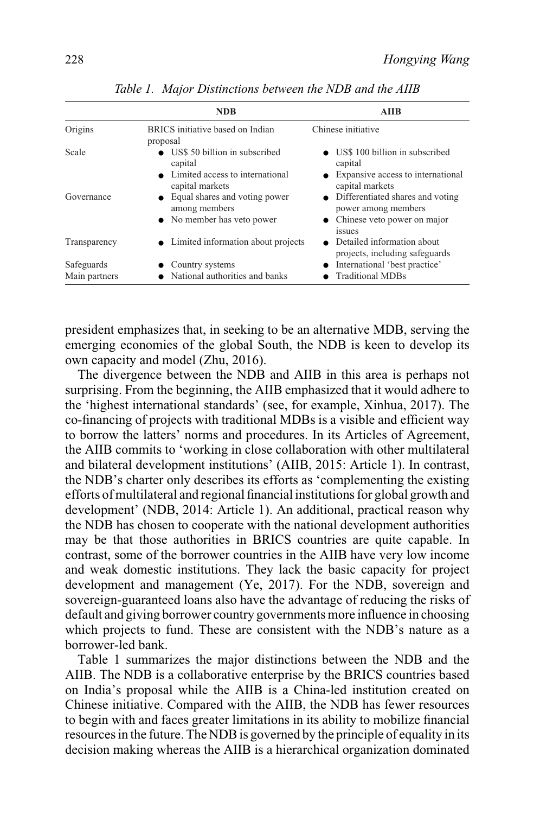|               | <b>NDB</b>                                               | <b>AIIB</b>                                                    |
|---------------|----------------------------------------------------------|----------------------------------------------------------------|
| Origins       | BRICS initiative based on Indian<br>proposal             | Chinese initiative                                             |
| Scale         | • US\$ 50 billion in subscribed<br>capital               | $\bullet$ US\$ 100 billion in subscribed<br>capital            |
|               | • Limited access to international<br>capital markets     | $\bullet$ Expansive access to international<br>capital markets |
| Governance    | $\bullet$ Equal shares and voting power<br>among members | • Differentiated shares and voting<br>power among members      |
|               | $\bullet$ No member has veto power                       | Chinese veto power on major<br>issues                          |
| Transparency  | $\bullet$ Limited information about projects             | Detailed information about<br>projects, including safeguards   |
| Safeguards    | $\bullet$ Country systems                                | International 'best practice'                                  |
| Main partners | National authorities and banks                           | <b>Traditional MDBs</b>                                        |

*Table 1. Major Distinctions between the NDB and the AIIB*

president emphasizes that, in seeking to be an alternative MDB, serving the emerging economies of the global South, the NDB is keen to develop its own capacity and model (Zhu, 2016).

The divergence between the NDB and AIIB in this area is perhaps not surprising. From the beginning, the AIIB emphasized that it would adhere to the 'highest international standards' (see, for example, Xinhua, 2017). The co-financing of projects with traditional MDBs is a visible and efficient way to borrow the latters' norms and procedures. In its Articles of Agreement, the AIIB commits to 'working in close collaboration with other multilateral and bilateral development institutions' (AIIB, 2015: Article 1). In contrast, the NDB's charter only describes its efforts as 'complementing the existing efforts of multilateral and regional financial institutions for global growth and development' (NDB, 2014: Article 1). An additional, practical reason why the NDB has chosen to cooperate with the national development authorities may be that those authorities in BRICS countries are quite capable. In contrast, some of the borrower countries in the AIIB have very low income and weak domestic institutions. They lack the basic capacity for project development and management (Ye, 2017). For the NDB, sovereign and sovereign-guaranteed loans also have the advantage of reducing the risks of default and giving borrower country governments more influence in choosing which projects to fund. These are consistent with the NDB's nature as a borrower-led bank.

Table 1 summarizes the major distinctions between the NDB and the AIIB. The NDB is a collaborative enterprise by the BRICS countries based on India's proposal while the AIIB is a China-led institution created on Chinese initiative. Compared with the AIIB, the NDB has fewer resources to begin with and faces greater limitations in its ability to mobilize financial resources in the future. The NDB is governed by the principle of equality in its decision making whereas the AIIB is a hierarchical organization dominated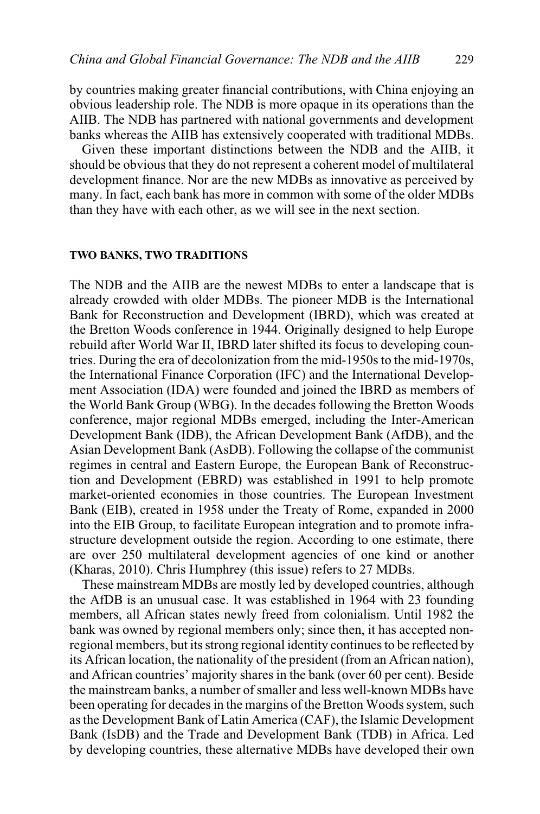by countries making greater financial contributions, with China enjoying an obvious leadership role. The NDB is more opaque in its operations than the AIIB. The NDB has partnered with national governments and development banks whereas the AIIB has extensively cooperated with traditional MDBs.

Given these important distinctions between the NDB and the AIIB, it should be obvious that they do not represent a coherent model of multilateral development finance. Nor are the new MDBs as innovative as perceived by many. In fact, each bank has more in common with some of the older MDBs than they have with each other, as we will see in the next section.

#### **TWO BANKS, TWO TRADITIONS**

The NDB and the AIIB are the newest MDBs to enter a landscape that is already crowded with older MDBs. The pioneer MDB is the International Bank for Reconstruction and Development (IBRD), which was created at the Bretton Woods conference in 1944. Originally designed to help Europe rebuild after World War II, IBRD later shifted its focus to developing countries. During the era of decolonization from the mid-1950s to the mid-1970s, the International Finance Corporation (IFC) and the International Development Association (IDA) were founded and joined the IBRD as members of the World Bank Group (WBG). In the decades following the Bretton Woods conference, major regional MDBs emerged, including the Inter-American Development Bank (IDB), the African Development Bank (AfDB), and the Asian Development Bank (AsDB). Following the collapse of the communist regimes in central and Eastern Europe, the European Bank of Reconstruction and Development (EBRD) was established in 1991 to help promote market-oriented economies in those countries. The European Investment Bank (EIB), created in 1958 under the Treaty of Rome, expanded in 2000 into the EIB Group, to facilitate European integration and to promote infrastructure development outside the region. According to one estimate, there are over 250 multilateral development agencies of one kind or another (Kharas, 2010). Chris Humphrey (this issue) refers to 27 MDBs.

These mainstream MDBs are mostly led by developed countries, although the AfDB is an unusual case. It was established in 1964 with 23 founding members, all African states newly freed from colonialism. Until 1982 the bank was owned by regional members only; since then, it has accepted nonregional members, but its strong regional identity continues to be reflected by its African location, the nationality of the president (from an African nation), and African countries' majority shares in the bank (over 60 per cent). Beside the mainstream banks, a number of smaller and less well-known MDBs have been operating for decades in the margins of the Bretton Woods system, such as the Development Bank of Latin America (CAF), the Islamic Development Bank (IsDB) and the Trade and Development Bank (TDB) in Africa. Led by developing countries, these alternative MDBs have developed their own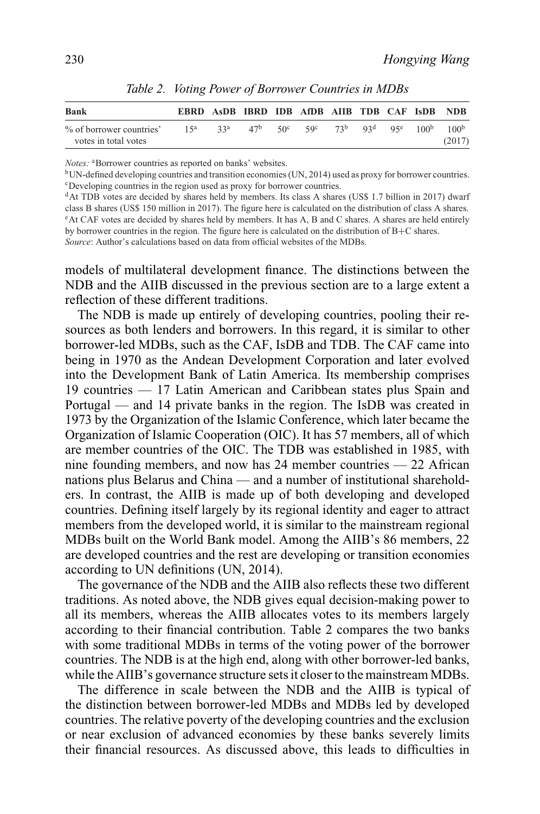| <b>Bank</b>                                      |                 | EBRD AsDB IBRD IDB AfDB AIIB TDB CAF ISDB NDB |                 |                           |                                        |                  |                            |
|--------------------------------------------------|-----------------|-----------------------------------------------|-----------------|---------------------------|----------------------------------------|------------------|----------------------------|
| % of borrower countries'<br>votes in total votes | 15 <sup>a</sup> | 33 <sup>a</sup>                               | 47 <sup>b</sup> | $50^{\circ}$ $59^{\circ}$ | $73^b$ 93 <sup>d</sup> 95 <sup>e</sup> | 100 <sup>b</sup> | 100 <sup>b</sup><br>(2017) |

*Table 2. Voting Power of Borrower Countries in MDBs*

*Notes:* aBorrower countries as reported on banks' websites.

bUN-defined developing countries and transition economies (UN, 2014) used as proxy for borrower countries. <sup>c</sup>Developing countries in the region used as proxy for borrower countries.

<sup>d</sup>At TDB votes are decided by shares held by members. Its class A shares (US\$ 1.7 billion in 2017) dwarf class B shares (US\$ 150 million in 2017). The figure here is calculated on the distribution of class A shares. eAt CAF votes are decided by shares held by members. It has A, B and C shares. A shares are held entirely by borrower countries in the region. The figure here is calculated on the distribution of B+C shares.

*Source*: Author's calculations based on data from official websites of the MDBs.

models of multilateral development finance. The distinctions between the NDB and the AIIB discussed in the previous section are to a large extent a reflection of these different traditions.

The NDB is made up entirely of developing countries, pooling their resources as both lenders and borrowers. In this regard, it is similar to other borrower-led MDBs, such as the CAF, IsDB and TDB. The CAF came into being in 1970 as the Andean Development Corporation and later evolved into the Development Bank of Latin America. Its membership comprises 19 countries — 17 Latin American and Caribbean states plus Spain and Portugal — and 14 private banks in the region. The IsDB was created in 1973 by the Organization of the Islamic Conference, which later became the Organization of Islamic Cooperation (OIC). It has 57 members, all of which are member countries of the OIC. The TDB was established in 1985, with nine founding members, and now has 24 member countries — 22 African nations plus Belarus and China — and a number of institutional shareholders. In contrast, the AIIB is made up of both developing and developed countries. Defining itself largely by its regional identity and eager to attract members from the developed world, it is similar to the mainstream regional MDBs built on the World Bank model. Among the AIIB's 86 members, 22 are developed countries and the rest are developing or transition economies according to UN definitions (UN, 2014).

The governance of the NDB and the AIIB also reflects these two different traditions. As noted above, the NDB gives equal decision-making power to all its members, whereas the AIIB allocates votes to its members largely according to their financial contribution. Table 2 compares the two banks with some traditional MDBs in terms of the voting power of the borrower countries. The NDB is at the high end, along with other borrower-led banks, while the AIIB's governance structure sets it closer to the mainstream MDBs.

The difference in scale between the NDB and the AIIB is typical of the distinction between borrower-led MDBs and MDBs led by developed countries. The relative poverty of the developing countries and the exclusion or near exclusion of advanced economies by these banks severely limits their financial resources. As discussed above, this leads to difficulties in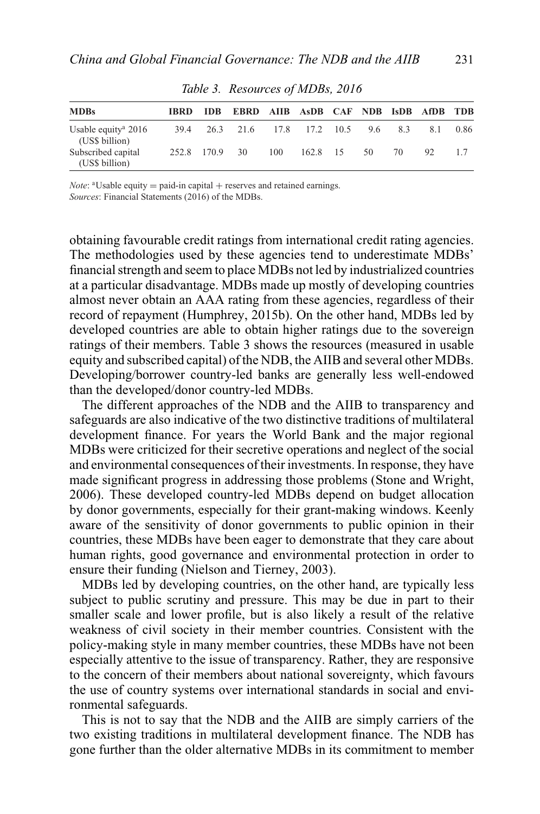| <b>MDBs</b>                                       | <b>IBRD</b> |                | IDB EBRD AIIB AsDB CAF NDB ISDB AfDB TDB |     |          |     |    |     |      |
|---------------------------------------------------|-------------|----------------|------------------------------------------|-----|----------|-----|----|-----|------|
| Usable equity <sup>a</sup> 2016<br>(US\$ billion) |             |                | 39.4 26.3 21.6 17.8 17.2 10.5 9.6 8.3    |     |          |     |    | 81  | 0.86 |
| Subscribed capital<br>(US\$ billion)              |             | 252.8 170.9 30 |                                          | 100 | 162.8 15 | -50 | 70 | 92. |      |

*Table 3. Resources of MDBs, 2016*

*Note*:  $^{\text{a}}$ Usable equity = paid-in capital + reserves and retained earnings.

*Sources*: Financial Statements (2016) of the MDBs.

obtaining favourable credit ratings from international credit rating agencies. The methodologies used by these agencies tend to underestimate MDBs' financial strength and seem to place MDBs not led by industrialized countries at a particular disadvantage. MDBs made up mostly of developing countries almost never obtain an AAA rating from these agencies, regardless of their record of repayment (Humphrey, 2015b). On the other hand, MDBs led by developed countries are able to obtain higher ratings due to the sovereign ratings of their members. Table 3 shows the resources (measured in usable equity and subscribed capital) of the NDB, the AIIB and several other MDBs. Developing/borrower country-led banks are generally less well-endowed than the developed/donor country-led MDBs.

The different approaches of the NDB and the AIIB to transparency and safeguards are also indicative of the two distinctive traditions of multilateral development finance. For years the World Bank and the major regional MDBs were criticized for their secretive operations and neglect of the social and environmental consequences of their investments. In response, they have made significant progress in addressing those problems (Stone and Wright, 2006). These developed country-led MDBs depend on budget allocation by donor governments, especially for their grant-making windows. Keenly aware of the sensitivity of donor governments to public opinion in their countries, these MDBs have been eager to demonstrate that they care about human rights, good governance and environmental protection in order to ensure their funding (Nielson and Tierney, 2003).

MDBs led by developing countries, on the other hand, are typically less subject to public scrutiny and pressure. This may be due in part to their smaller scale and lower profile, but is also likely a result of the relative weakness of civil society in their member countries. Consistent with the policy-making style in many member countries, these MDBs have not been especially attentive to the issue of transparency. Rather, they are responsive to the concern of their members about national sovereignty, which favours the use of country systems over international standards in social and environmental safeguards.

This is not to say that the NDB and the AIIB are simply carriers of the two existing traditions in multilateral development finance. The NDB has gone further than the older alternative MDBs in its commitment to member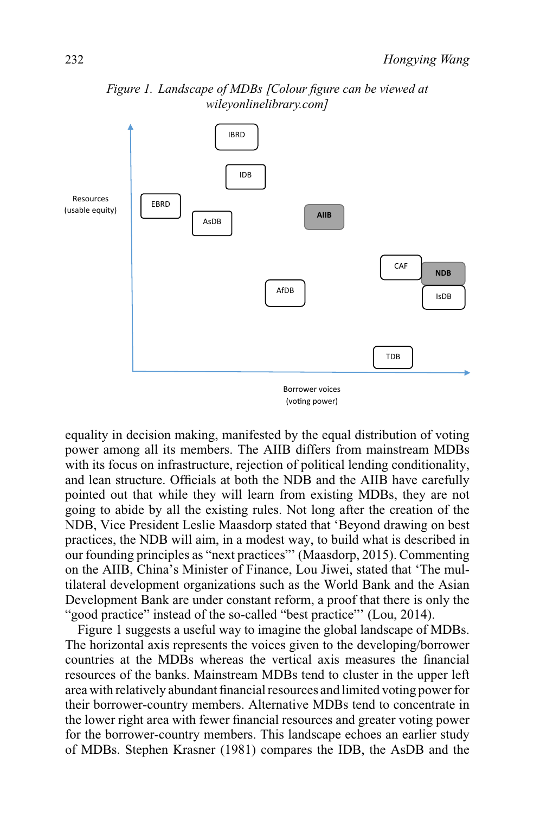

*Figure 1. Landscape of MDBs [Colour figure can be viewed at wileyonlinelibrary.com]*

equality in decision making, manifested by the equal distribution of voting power among all its members. The AIIB differs from mainstream MDBs with its focus on infrastructure, rejection of political lending conditionality, and lean structure. Officials at both the NDB and the AIIB have carefully pointed out that while they will learn from existing MDBs, they are not going to abide by all the existing rules. Not long after the creation of the NDB, Vice President Leslie Maasdorp stated that 'Beyond drawing on best practices, the NDB will aim, in a modest way, to build what is described in our founding principles as "next practices"' (Maasdorp, 2015). Commenting on the AIIB, China's Minister of Finance, Lou Jiwei, stated that 'The multilateral development organizations such as the World Bank and the Asian Development Bank are under constant reform, a proof that there is only the "good practice" instead of the so-called "best practice"' (Lou, 2014).

Figure 1 suggests a useful way to imagine the global landscape of MDBs. The horizontal axis represents the voices given to the developing/borrower countries at the MDBs whereas the vertical axis measures the financial resources of the banks. Mainstream MDBs tend to cluster in the upper left area with relatively abundant financial resources and limited voting power for their borrower-country members. Alternative MDBs tend to concentrate in the lower right area with fewer financial resources and greater voting power for the borrower-country members. This landscape echoes an earlier study of MDBs. Stephen Krasner (1981) compares the IDB, the AsDB and the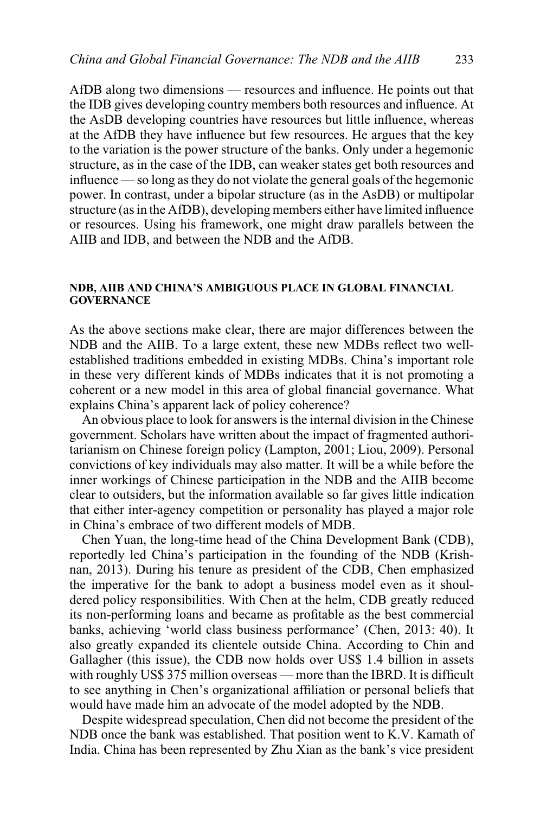AfDB along two dimensions — resources and influence. He points out that the IDB gives developing country members both resources and influence. At the AsDB developing countries have resources but little influence, whereas at the AfDB they have influence but few resources. He argues that the key to the variation is the power structure of the banks. Only under a hegemonic structure, as in the case of the IDB, can weaker states get both resources and influence — so long as they do not violate the general goals of the hegemonic power. In contrast, under a bipolar structure (as in the AsDB) or multipolar structure (as in the AfDB), developing members either have limited influence or resources. Using his framework, one might draw parallels between the AIIB and IDB, and between the NDB and the AfDB.

# **NDB, AIIB AND CHINA'S AMBIGUOUS PLACE IN GLOBAL FINANCIAL GOVERNANCE**

As the above sections make clear, there are major differences between the NDB and the AIIB. To a large extent, these new MDBs reflect two wellestablished traditions embedded in existing MDBs. China's important role in these very different kinds of MDBs indicates that it is not promoting a coherent or a new model in this area of global financial governance. What explains China's apparent lack of policy coherence?

An obvious place to look for answers is the internal division in the Chinese government. Scholars have written about the impact of fragmented authoritarianism on Chinese foreign policy (Lampton, 2001; Liou, 2009). Personal convictions of key individuals may also matter. It will be a while before the inner workings of Chinese participation in the NDB and the AIIB become clear to outsiders, but the information available so far gives little indication that either inter-agency competition or personality has played a major role in China's embrace of two different models of MDB.

Chen Yuan, the long-time head of the China Development Bank (CDB), reportedly led China's participation in the founding of the NDB (Krishnan, 2013). During his tenure as president of the CDB, Chen emphasized the imperative for the bank to adopt a business model even as it shouldered policy responsibilities. With Chen at the helm, CDB greatly reduced its non-performing loans and became as profitable as the best commercial banks, achieving 'world class business performance' (Chen, 2013: 40). It also greatly expanded its clientele outside China. According to Chin and Gallagher (this issue), the CDB now holds over US\$ 1.4 billion in assets with roughly US\$ 375 million overseas — more than the IBRD. It is difficult to see anything in Chen's organizational affiliation or personal beliefs that would have made him an advocate of the model adopted by the NDB.

Despite widespread speculation, Chen did not become the president of the NDB once the bank was established. That position went to K.V. Kamath of India. China has been represented by Zhu Xian as the bank's vice president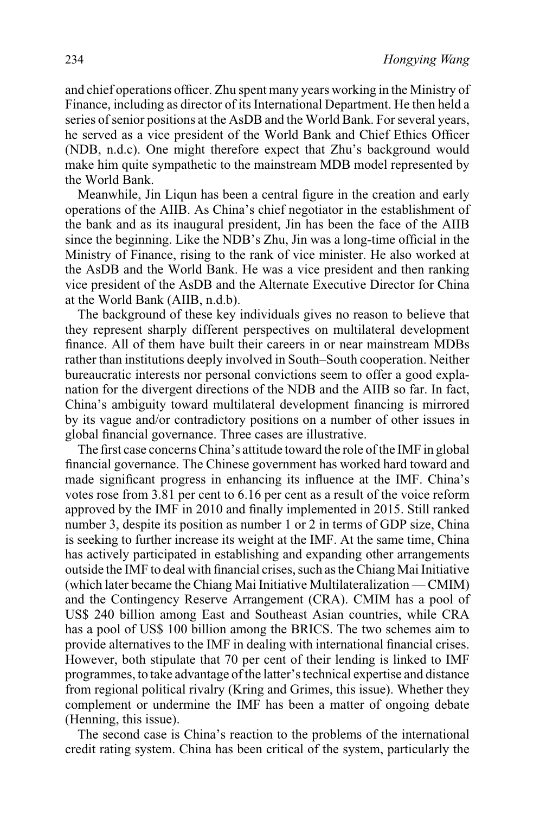and chief operations officer. Zhu spent many years working in the Ministry of Finance, including as director of its International Department. He then held a series of senior positions at the AsDB and the World Bank. For several years, he served as a vice president of the World Bank and Chief Ethics Officer (NDB, n.d.c). One might therefore expect that Zhu's background would make him quite sympathetic to the mainstream MDB model represented by the World Bank.

Meanwhile, Jin Liqun has been a central figure in the creation and early operations of the AIIB. As China's chief negotiator in the establishment of the bank and as its inaugural president, Jin has been the face of the AIIB since the beginning. Like the NDB's Zhu, Jin was a long-time official in the Ministry of Finance, rising to the rank of vice minister. He also worked at the AsDB and the World Bank. He was a vice president and then ranking vice president of the AsDB and the Alternate Executive Director for China at the World Bank (AIIB, n.d.b).

The background of these key individuals gives no reason to believe that they represent sharply different perspectives on multilateral development finance. All of them have built their careers in or near mainstream MDBs rather than institutions deeply involved in South–South cooperation. Neither bureaucratic interests nor personal convictions seem to offer a good explanation for the divergent directions of the NDB and the AIIB so far. In fact, China's ambiguity toward multilateral development financing is mirrored by its vague and/or contradictory positions on a number of other issues in global financial governance. Three cases are illustrative.

The first case concerns China's attitude toward the role of the IMF in global financial governance. The Chinese government has worked hard toward and made significant progress in enhancing its influence at the IMF. China's votes rose from 3.81 per cent to 6.16 per cent as a result of the voice reform approved by the IMF in 2010 and finally implemented in 2015. Still ranked number 3, despite its position as number 1 or 2 in terms of GDP size, China is seeking to further increase its weight at the IMF. At the same time, China has actively participated in establishing and expanding other arrangements outside the IMF to deal with financial crises, such as the Chiang Mai Initiative (which later became the Chiang Mai Initiative Multilateralization — CMIM) and the Contingency Reserve Arrangement (CRA). CMIM has a pool of US\$ 240 billion among East and Southeast Asian countries, while CRA has a pool of US\$ 100 billion among the BRICS. The two schemes aim to provide alternatives to the IMF in dealing with international financial crises. However, both stipulate that 70 per cent of their lending is linked to IMF programmes, to take advantage of the latter's technical expertise and distance from regional political rivalry (Kring and Grimes, this issue). Whether they complement or undermine the IMF has been a matter of ongoing debate (Henning, this issue).

The second case is China's reaction to the problems of the international credit rating system. China has been critical of the system, particularly the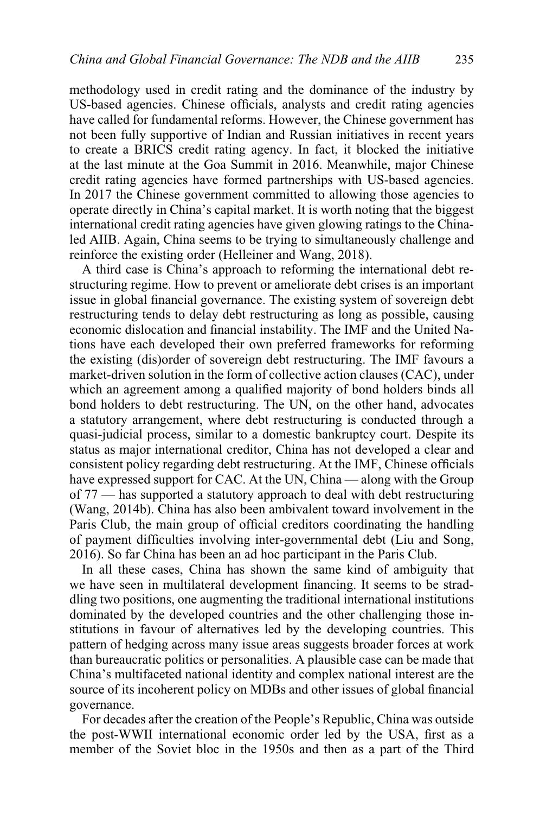methodology used in credit rating and the dominance of the industry by US-based agencies. Chinese officials, analysts and credit rating agencies have called for fundamental reforms. However, the Chinese government has not been fully supportive of Indian and Russian initiatives in recent years to create a BRICS credit rating agency. In fact, it blocked the initiative at the last minute at the Goa Summit in 2016. Meanwhile, major Chinese credit rating agencies have formed partnerships with US-based agencies. In 2017 the Chinese government committed to allowing those agencies to operate directly in China's capital market. It is worth noting that the biggest international credit rating agencies have given glowing ratings to the Chinaled AIIB. Again, China seems to be trying to simultaneously challenge and reinforce the existing order (Helleiner and Wang, 2018).

A third case is China's approach to reforming the international debt restructuring regime. How to prevent or ameliorate debt crises is an important issue in global financial governance. The existing system of sovereign debt restructuring tends to delay debt restructuring as long as possible, causing economic dislocation and financial instability. The IMF and the United Nations have each developed their own preferred frameworks for reforming the existing (dis)order of sovereign debt restructuring. The IMF favours a market-driven solution in the form of collective action clauses (CAC), under which an agreement among a qualified majority of bond holders binds all bond holders to debt restructuring. The UN, on the other hand, advocates a statutory arrangement, where debt restructuring is conducted through a quasi-judicial process, similar to a domestic bankruptcy court. Despite its status as major international creditor, China has not developed a clear and consistent policy regarding debt restructuring. At the IMF, Chinese officials have expressed support for CAC. At the UN, China — along with the Group of 77 — has supported a statutory approach to deal with debt restructuring (Wang, 2014b). China has also been ambivalent toward involvement in the Paris Club, the main group of official creditors coordinating the handling of payment difficulties involving inter-governmental debt (Liu and Song, 2016). So far China has been an ad hoc participant in the Paris Club.

In all these cases, China has shown the same kind of ambiguity that we have seen in multilateral development financing. It seems to be straddling two positions, one augmenting the traditional international institutions dominated by the developed countries and the other challenging those institutions in favour of alternatives led by the developing countries. This pattern of hedging across many issue areas suggests broader forces at work than bureaucratic politics or personalities. A plausible case can be made that China's multifaceted national identity and complex national interest are the source of its incoherent policy on MDBs and other issues of global financial governance.

For decades after the creation of the People's Republic, China was outside the post-WWII international economic order led by the USA, first as a member of the Soviet bloc in the 1950s and then as a part of the Third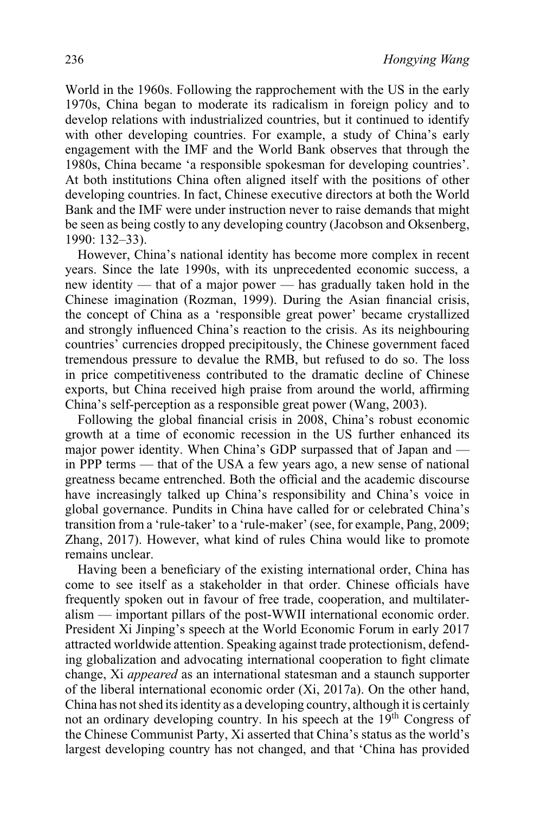World in the 1960s. Following the rapprochement with the US in the early 1970s, China began to moderate its radicalism in foreign policy and to develop relations with industrialized countries, but it continued to identify with other developing countries. For example, a study of China's early engagement with the IMF and the World Bank observes that through the 1980s, China became 'a responsible spokesman for developing countries'. At both institutions China often aligned itself with the positions of other developing countries. In fact, Chinese executive directors at both the World Bank and the IMF were under instruction never to raise demands that might be seen as being costly to any developing country (Jacobson and Oksenberg, 1990: 132–33).

However, China's national identity has become more complex in recent years. Since the late 1990s, with its unprecedented economic success, a new identity — that of a major power — has gradually taken hold in the Chinese imagination (Rozman, 1999). During the Asian financial crisis, the concept of China as a 'responsible great power' became crystallized and strongly influenced China's reaction to the crisis. As its neighbouring countries' currencies dropped precipitously, the Chinese government faced tremendous pressure to devalue the RMB, but refused to do so. The loss in price competitiveness contributed to the dramatic decline of Chinese exports, but China received high praise from around the world, affirming China's self-perception as a responsible great power (Wang, 2003).

Following the global financial crisis in 2008, China's robust economic growth at a time of economic recession in the US further enhanced its major power identity. When China's GDP surpassed that of Japan and in PPP terms — that of the USA a few years ago, a new sense of national greatness became entrenched. Both the official and the academic discourse have increasingly talked up China's responsibility and China's voice in global governance. Pundits in China have called for or celebrated China's transition from a 'rule-taker' to a 'rule-maker' (see, for example, Pang, 2009; Zhang, 2017). However, what kind of rules China would like to promote remains unclear.

Having been a beneficiary of the existing international order, China has come to see itself as a stakeholder in that order. Chinese officials have frequently spoken out in favour of free trade, cooperation, and multilateralism — important pillars of the post-WWII international economic order. President Xi Jinping's speech at the World Economic Forum in early 2017 attracted worldwide attention. Speaking against trade protectionism, defending globalization and advocating international cooperation to fight climate change, Xi *appeared* as an international statesman and a staunch supporter of the liberal international economic order (Xi, 2017a). On the other hand, China has not shed its identity as a developing country, although it is certainly not an ordinary developing country. In his speech at the 19th Congress of the Chinese Communist Party, Xi asserted that China's status as the world's largest developing country has not changed, and that 'China has provided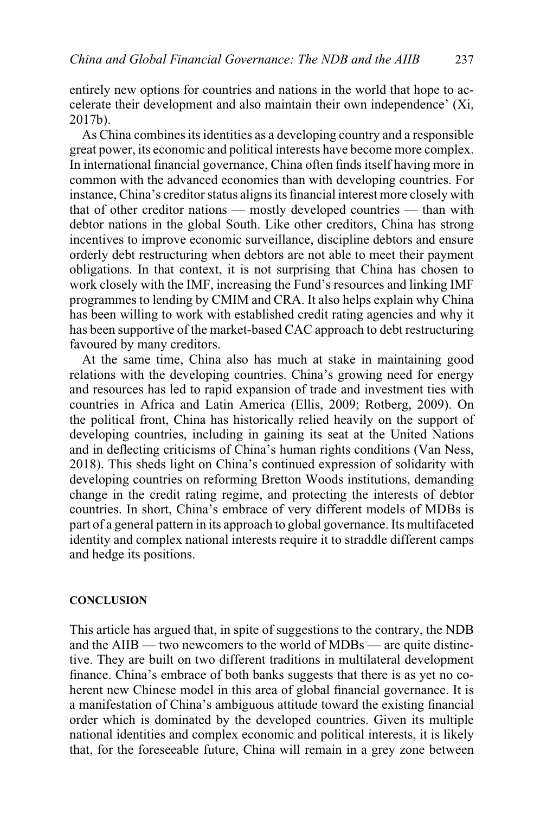entirely new options for countries and nations in the world that hope to accelerate their development and also maintain their own independence' (Xi, 2017b).

As China combines its identities as a developing country and a responsible great power, its economic and political interests have become more complex. In international financial governance, China often finds itself having more in common with the advanced economies than with developing countries. For instance, China's creditor status aligns its financial interest more closely with that of other creditor nations — mostly developed countries — than with debtor nations in the global South. Like other creditors, China has strong incentives to improve economic surveillance, discipline debtors and ensure orderly debt restructuring when debtors are not able to meet their payment obligations. In that context, it is not surprising that China has chosen to work closely with the IMF, increasing the Fund's resources and linking IMF programmes to lending by CMIM and CRA. It also helps explain why China has been willing to work with established credit rating agencies and why it has been supportive of the market-based CAC approach to debt restructuring favoured by many creditors.

At the same time, China also has much at stake in maintaining good relations with the developing countries. China's growing need for energy and resources has led to rapid expansion of trade and investment ties with countries in Africa and Latin America (Ellis, 2009; Rotberg, 2009). On the political front, China has historically relied heavily on the support of developing countries, including in gaining its seat at the United Nations and in deflecting criticisms of China's human rights conditions (Van Ness, 2018). This sheds light on China's continued expression of solidarity with developing countries on reforming Bretton Woods institutions, demanding change in the credit rating regime, and protecting the interests of debtor countries. In short, China's embrace of very different models of MDBs is part of a general pattern in its approach to global governance. Its multifaceted identity and complex national interests require it to straddle different camps and hedge its positions.

## **CONCLUSION**

This article has argued that, in spite of suggestions to the contrary, the NDB and the AIIB — two newcomers to the world of MDBs — are quite distinctive. They are built on two different traditions in multilateral development finance. China's embrace of both banks suggests that there is as yet no coherent new Chinese model in this area of global financial governance. It is a manifestation of China's ambiguous attitude toward the existing financial order which is dominated by the developed countries. Given its multiple national identities and complex economic and political interests, it is likely that, for the foreseeable future, China will remain in a grey zone between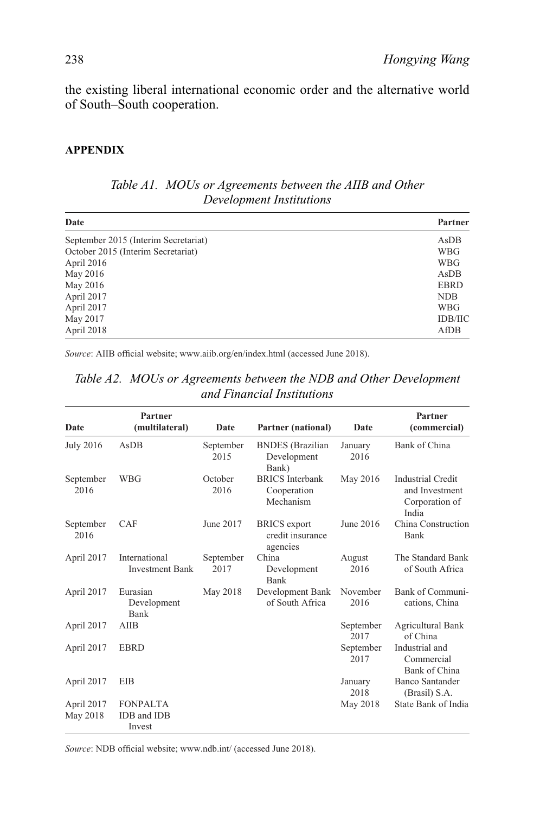the existing liberal international economic order and the alternative world of South–South cooperation.

# **APPENDIX**

| Table A1. MOUs or Agreements between the AIIB and Other |
|---------------------------------------------------------|
| Development Institutions                                |

| Date                                 | Partner        |
|--------------------------------------|----------------|
| September 2015 (Interim Secretariat) | AsDB           |
| October 2015 (Interim Secretariat)   | <b>WBG</b>     |
| April 2016                           | <b>WBG</b>     |
| May 2016                             | AsDB           |
| May 2016                             | <b>EBRD</b>    |
| April 2017                           | <b>NDB</b>     |
| April 2017                           | <b>WBG</b>     |
| May 2017                             | <b>IDB/IIC</b> |
| April 2018                           | AfDB           |

*Source*: AIIB official website; [www.aiib.org/en/index.html](http://www.aiib.org/en/index.html) (accessed June 2018).

| Date                   | Partner<br>(multilateral)                | Date              | Partner (national)                                  | Date              | Partner<br>(commercial)                                        |
|------------------------|------------------------------------------|-------------------|-----------------------------------------------------|-------------------|----------------------------------------------------------------|
| July 2016              | AsDB                                     | September<br>2015 | <b>BNDES</b> (Brazilian<br>Development<br>Bank)     | January<br>2016   | Bank of China                                                  |
| September<br>2016      | WBG                                      | October<br>2016   | <b>BRICS</b> Interbank<br>Cooperation<br>Mechanism  | May 2016          | Industrial Credit<br>and Investment<br>Corporation of<br>India |
| September<br>2016      | <b>CAF</b>                               | June 2017         | <b>BRICS</b> export<br>credit insurance<br>agencies | June 2016         | China Construction<br>Bank                                     |
| April 2017             | International<br><b>Investment Bank</b>  | September<br>2017 | China<br>Development<br>Bank                        | August<br>2016    | The Standard Bank<br>of South Africa                           |
| April 2017             | Eurasian<br>Development<br>Bank          | May 2018          | Development Bank<br>of South Africa                 | November<br>2016  | Bank of Communi-<br>cations, China                             |
| April 2017             | AIIB                                     |                   |                                                     | September<br>2017 | Agricultural Bank<br>of China                                  |
| April 2017             | <b>EBRD</b>                              |                   |                                                     | September<br>2017 | Industrial and<br>Commercial<br><b>Bank of China</b>           |
| April 2017             | <b>EIB</b>                               |                   |                                                     | January<br>2018   | Banco Santander<br>(Brasil) S.A.                               |
| April 2017<br>May 2018 | <b>FONPALTA</b><br>IDB and IDB<br>Invest |                   |                                                     | May 2018          | State Bank of India                                            |

*Table A2. MOUs or Agreements between the NDB and Other Development and Financial Institutions*

*Source*: NDB official website; [www.ndb.int/](http://www.ndb.int/) (accessed June 2018).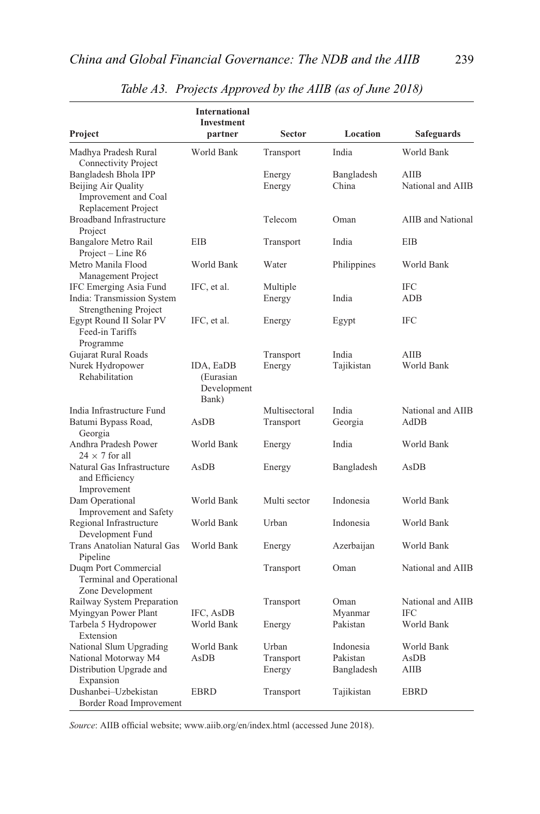| Project                                      | <b>International</b><br>Investment<br>partner | Sector        | Location    | Safeguards         |
|----------------------------------------------|-----------------------------------------------|---------------|-------------|--------------------|
|                                              |                                               |               |             |                    |
| Madhya Pradesh Rural                         | World Bank                                    | Transport     | India       | World Bank         |
| Connectivity Project<br>Bangladesh Bhola IPP |                                               | Energy        | Bangladesh  | AIIB               |
| Beijing Air Quality                          |                                               | Energy        | China       | National and AIIB  |
| Improvement and Coal                         |                                               |               |             |                    |
| Replacement Project                          |                                               |               |             |                    |
| Broadband Infrastructure                     |                                               | Telecom       | Oman        | AIIB and National  |
| Project                                      |                                               |               |             |                    |
| Bangalore Metro Rail                         | EIB                                           | Transport     | India       | EIB                |
| Project – Line R6                            |                                               |               |             |                    |
| Metro Manila Flood                           | World Bank                                    | Water         | Philippines | World Bank         |
| Management Project                           |                                               |               |             |                    |
| IFC Emerging Asia Fund                       | IFC, et al.                                   | Multiple      |             | <b>IFC</b>         |
| India: Transmission System                   |                                               | Energy        | India       | <b>ADB</b>         |
| Strengthening Project                        |                                               |               |             |                    |
| Egypt Round II Solar PV                      | IFC, et al.                                   | Energy        | Egypt       | IFC                |
| Feed-in Tariffs                              |                                               |               |             |                    |
| Programme                                    |                                               |               |             |                    |
| Gujarat Rural Roads                          | IDA, EaDB                                     | Transport     | India       | AIIB<br>World Bank |
| Nurek Hydropower<br>Rehabilitation           | (Eurasian                                     | Energy        | Tajikistan  |                    |
|                                              | Development                                   |               |             |                    |
|                                              | Bank)                                         |               |             |                    |
| India Infrastructure Fund                    |                                               | Multisectoral | India       | National and AIIB  |
| Batumi Bypass Road,                          | AsDB                                          | Transport     | Georgia     | AdDB               |
| Georgia                                      |                                               |               |             |                    |
| Andhra Pradesh Power                         | World Bank                                    | Energy        | India       | World Bank         |
| $24 \times 7$ for all                        |                                               |               |             |                    |
| Natural Gas Infrastructure                   | AsDB                                          | Energy        | Bangladesh  | AsDB               |
| and Efficiency                               |                                               |               |             |                    |
| Improvement                                  |                                               |               |             |                    |
| Dam Operational                              | World Bank                                    | Multi sector  | Indonesia   | World Bank         |
| Improvement and Safety                       |                                               |               |             |                    |
| Regional Infrastructure                      | World Bank                                    | Urban         | Indonesia   | World Bank         |
| Development Fund                             |                                               |               |             |                    |
| Trans Anatolian Natural Gas                  | World Bank                                    | Energy        | Azerbaijan  | World Bank         |
| Pipeline<br>Duqm Port Commercial             |                                               | Transport     | Oman        | National and AIIB  |
| Terminal and Operational                     |                                               |               |             |                    |
| Zone Development                             |                                               |               |             |                    |
| Railway System Preparation                   |                                               | Transport     | Oman        | National and AIIB  |
| Myingyan Power Plant                         | IFC, AsDB                                     |               | Myanmar     | <b>IFC</b>         |
| Tarbela 5 Hydropower                         | World Bank                                    | Energy        | Pakistan    | World Bank         |
| Extension                                    |                                               |               |             |                    |
| National Slum Upgrading                      | World Bank                                    | Urban         | Indonesia   | World Bank         |
| National Motorway M4                         | AsDB                                          | Transport     | Pakistan    | AsDB               |
| Distribution Upgrade and                     |                                               | Energy        | Bangladesh  | AIIB               |
| Expansion                                    |                                               |               |             |                    |
| Dushanbei-Uzbekistan                         | <b>EBRD</b>                                   | Transport     | Tajikistan  | <b>EBRD</b>        |
| Border Road Improvement                      |                                               |               |             |                    |

*Table A3. Projects Approved by the AIIB (as of June 2018)*

*Source*: AIIB official website; [www.aiib.org/en/index.html](http://www.aiib.org/en/index.html) (accessed June 2018).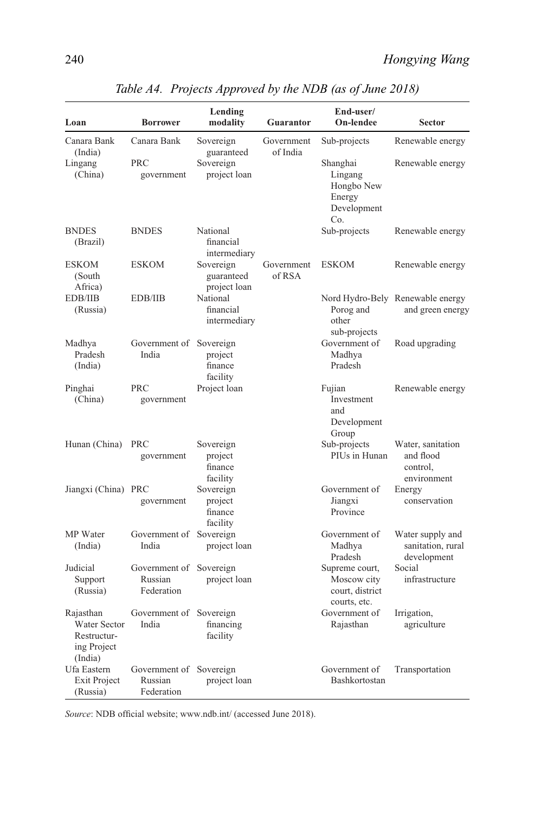| Loan                                                                      | <b>Borrower</b>                                  | Lending<br>modality                         | Guarantor              | End-user/<br><b>On-lendee</b>                                     | <b>Sector</b>                                             |
|---------------------------------------------------------------------------|--------------------------------------------------|---------------------------------------------|------------------------|-------------------------------------------------------------------|-----------------------------------------------------------|
| Canara Bank<br>(India)                                                    | Canara Bank                                      | Sovereign<br>guaranteed                     | Government<br>of India | Sub-projects                                                      | Renewable energy                                          |
| Lingang<br>(China)                                                        | <b>PRC</b><br>government                         | Sovereign<br>project loan                   |                        | Shanghai<br>Lingang<br>Hongbo New<br>Energy<br>Development<br>Co. | Renewable energy                                          |
| <b>BNDES</b><br>(Brazil)                                                  | <b>BNDES</b>                                     | National<br>financial<br>intermediary       |                        | Sub-projects                                                      | Renewable energy                                          |
| <b>ESKOM</b><br>(South)<br>Africa)                                        | <b>ESKOM</b>                                     | Sovereign<br>guaranteed<br>project loan     | Government<br>of RSA   | <b>ESKOM</b>                                                      | Renewable energy                                          |
| EDB/IIB<br>(Russia)                                                       | EDB/IIB                                          | National<br>financial<br>intermediary       |                        | Porog and<br>other<br>sub-projects                                | Nord Hydro-Bely Renewable energy<br>and green energy      |
| Madhya<br>Pradesh<br>(India)                                              | Government of Sovereign<br>India                 | project<br>finance<br>facility              |                        | Government of<br>Madhya<br>Pradesh                                | Road upgrading                                            |
| Pinghai<br>(China)                                                        | <b>PRC</b><br>government                         | Project loan                                |                        | Fujian<br>Investment<br>and<br>Development<br>Group               | Renewable energy                                          |
| Hunan (China)                                                             | <b>PRC</b><br>government                         | Sovereign<br>project<br>finance<br>facility |                        | Sub-projects<br>PIUs in Hunan                                     | Water, sanitation<br>and flood<br>control.<br>environment |
| Jiangxi (China) PRC                                                       | government                                       | Sovereign<br>project<br>finance<br>facility |                        | Government of<br>Jiangxi<br>Province                              | Energy<br>conservation                                    |
| MP Water<br>(India)                                                       | Government of Sovereign<br>India                 | project loan                                |                        | Government of<br>Madhya<br>Pradesh                                | Water supply and<br>sanitation, rural<br>development      |
| Judicial<br>Support<br>(Russia)                                           | Government of Sovereign<br>Russian<br>Federation | project loan                                |                        | Supreme court,<br>Moscow city<br>court, district<br>courts, etc.  | Social<br>infrastructure                                  |
| Rajasthan<br><b>Water Sector</b><br>Restructur-<br>ing Project<br>(India) | Government of Sovereign<br>India                 | financing<br>facility                       |                        | Government of<br>Rajasthan                                        | Irrigation,<br>agriculture                                |
| Ufa Eastern<br><b>Exit Project</b><br>(Russia)                            | Government of Sovereign<br>Russian<br>Federation | project loan                                |                        | Government of<br>Bashkortostan                                    | Transportation                                            |

*Table A4. Projects Approved by the NDB (as of June 2018)*

*Source*: NDB official website; [www.ndb.int/](http://www.ndb.int/) (accessed June 2018).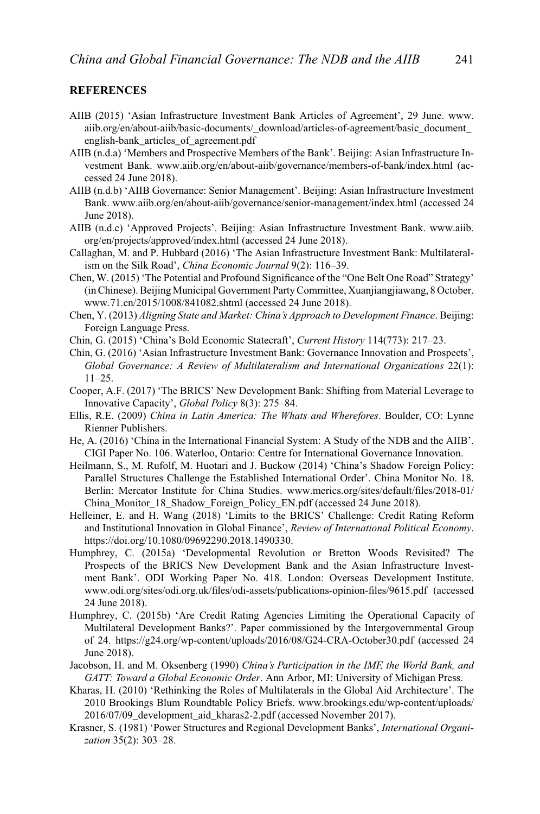# **REFERENCES**

- AIIB (2015) 'Asian Infrastructure Investment Bank Articles of Agreement', 29 June. [www.](http://www.aiib.org/en/about-aiib/basic-documents/_download/articles-of-agreement/basic_document_english-bank_articles_of_agreement.pdf) [aiib.org/en/about-aiib/basic-documents/\\_download/articles-of-agreement/basic\\_document\\_](http://www.aiib.org/en/about-aiib/basic-documents/_download/articles-of-agreement/basic_document_english-bank_articles_of_agreement.pdf) [english-bank\\_articles\\_of\\_agreement.pdf](http://www.aiib.org/en/about-aiib/basic-documents/_download/articles-of-agreement/basic_document_english-bank_articles_of_agreement.pdf)
- AIIB (n.d.a) 'Members and Prospective Members of the Bank'. Beijing: Asian Infrastructure Investment Bank. [www.aiib.org/en/about-aiib/governance/members-of-bank/index.html](http://www.aiib.org/en/about-aiib/governance/members-of-bank/index.html) (accessed 24 June 2018).
- AIIB (n.d.b) 'AIIB Governance: Senior Management'. Beijing: Asian Infrastructure Investment Bank. [www.aiib.org/en/about-aiib/governance/senior-management/index.html](http://www.aiib.org/en/about-aiib/governance/senior-management/index.html) (accessed 24 June 2018).
- AIIB (n.d.c) 'Approved Projects'. Beijing: Asian Infrastructure Investment Bank. [www.aiib.](http://www.aiib.org/en/projects/approved/index.html) [org/en/projects/approved/index.html](http://www.aiib.org/en/projects/approved/index.html) (accessed 24 June 2018).
- Callaghan, M. and P. Hubbard (2016) 'The Asian Infrastructure Investment Bank: Multilateralism on the Silk Road', *China Economic Journal* 9(2): 116–39.
- Chen, W. (2015) 'The Potential and Profound Significance of the "One Belt One Road" Strategy' (in Chinese). Beijing Municipal Government Party Committee, Xuanjiangjiawang, 8 October. [www.71.cn/2015/1008/841082.shtml](http://www.71.cn/2015/1008/841082.shtml) (accessed 24 June 2018).
- Chen, Y. (2013) *Aligning State and Market: China's Approach to Development Finance*. Beijing: Foreign Language Press.
- Chin, G. (2015) 'China's Bold Economic Statecraft', *Current History* 114(773): 217–23.
- Chin, G. (2016) 'Asian Infrastructure Investment Bank: Governance Innovation and Prospects', *Global Governance: A Review of Multilateralism and International Organizations* 22(1): 11–25.
- Cooper, A.F. (2017) 'The BRICS' New Development Bank: Shifting from Material Leverage to Innovative Capacity', *Global Policy* 8(3): 275–84.
- Ellis, R.E. (2009) *China in Latin America: The Whats and Wherefores*. Boulder, CO: Lynne Rienner Publishers.
- He, A. (2016) 'China in the International Financial System: A Study of the NDB and the AIIB'. CIGI Paper No. 106. Waterloo, Ontario: Centre for International Governance Innovation.
- Heilmann, S., M. Rufolf, M. Huotari and J. Buckow (2014) 'China's Shadow Foreign Policy: Parallel Structures Challenge the Established International Order'. China Monitor No. 18. Berlin: Mercator Institute for China Studies. [www.merics.org/sites/default/files/2018-01/](http://www.merics.org/sites/default/files/2018-01/China_Monitor_18_Shadow_Foreign_Policy_EN.pdf) [China\\_Monitor\\_18\\_Shadow\\_Foreign\\_Policy\\_EN.pdf](http://www.merics.org/sites/default/files/2018-01/China_Monitor_18_Shadow_Foreign_Policy_EN.pdf) (accessed 24 June 2018).
- Helleiner, E. and H. Wang (2018) 'Limits to the BRICS' Challenge: Credit Rating Reform and Institutional Innovation in Global Finance', *Review of International Political Economy*. [https://doi.org/10.1080/09692290.2018.1490330.](https://doi.org/10.1080/09692290.2018.1490330)
- Humphrey, C. (2015a) 'Developmental Revolution or Bretton Woods Revisited? The Prospects of the BRICS New Development Bank and the Asian Infrastructure Investment Bank'. ODI Working Paper No. 418. London: Overseas Development Institute. [www.odi.org/sites/odi.org.uk/files/odi-assets/publications-opinion-files/9615.pdf](http://www.odi.org/sites/odi.org.uk/files/odi-assets/publications-opinion-files/9615.pdf) (accessed 24 June 2018).
- Humphrey, C. (2015b) 'Are Credit Rating Agencies Limiting the Operational Capacity of Multilateral Development Banks?'. Paper commissioned by the Intergovernmental Group of 24.<https://g24.org/wp-content/uploads/2016/08/G24-CRA-October30.pdf> (accessed 24 June 2018).
- Jacobson, H. and M. Oksenberg (1990) *China's Participation in the IMF, the World Bank, and GATT: Toward a Global Economic Order*. Ann Arbor, MI: University of Michigan Press.
- Kharas, H. (2010) 'Rethinking the Roles of Multilaterals in the Global Aid Architecture'. The 2010 Brookings Blum Roundtable Policy Briefs. [www.brookings.edu/wp-content/uploads/](http://www.brookings.edu/wp-content/uploads/2016/07/09_development_aid_kharas2-2.pdf) [2016/07/09\\_development\\_aid\\_kharas2-2.pdf](http://www.brookings.edu/wp-content/uploads/2016/07/09_development_aid_kharas2-2.pdf) (accessed November 2017).
- Krasner, S. (1981) 'Power Structures and Regional Development Banks', *International Organization* 35(2): 303–28.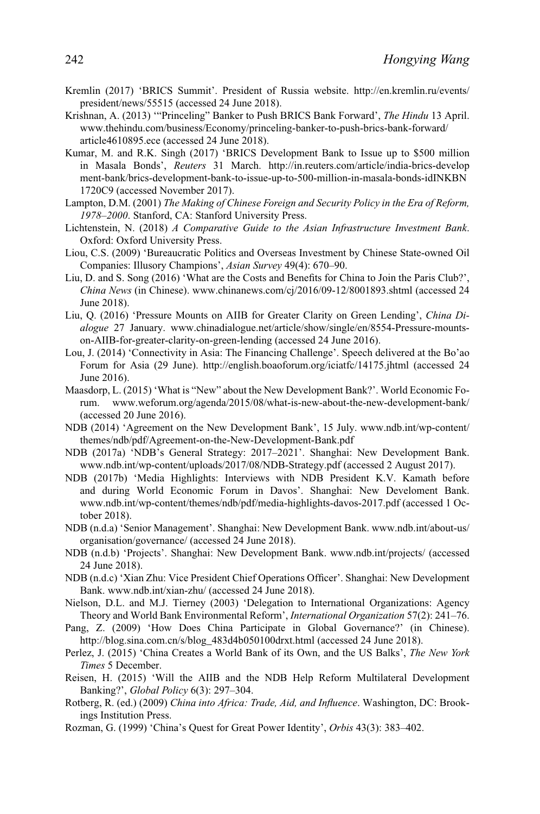- Kremlin (2017) 'BRICS Summit'. President of Russia website. [http://en.kremlin.ru/events/](http://en.kremlin.ru/events/president/news/55515) [president/news/55515](http://en.kremlin.ru/events/president/news/55515) (accessed 24 June 2018).
- Krishnan, A. (2013) '"Princeling" Banker to Push BRICS Bank Forward', *The Hindu* 13 April. [www.thehindu.com/business/Economy/princeling-banker-to-push-brics-bank-forward/](http://www.thehindu.com/business/Economy/princeling-banker-to-push-brics-bank-forward/article4610895.ece) [article4610895.ece](http://www.thehindu.com/business/Economy/princeling-banker-to-push-brics-bank-forward/article4610895.ece) (accessed 24 June 2018).
- Kumar, M. and R.K. Singh (2017) 'BRICS Development Bank to Issue up to \$500 million in Masala Bonds', *Reuters* 31 March. [http://in.reuters.com/article/india-brics-develop](http://in.reuters.com/article/india-brics-development-bank/brics-development-bank-to-issue-up-to-500-million-in-masala-bonds-idINKBN1720C9) [ment-bank/brics-development-bank-to-issue-up-to-500-million-in-masala-bonds-idINKBN](http://in.reuters.com/article/india-brics-development-bank/brics-development-bank-to-issue-up-to-500-million-in-masala-bonds-idINKBN1720C9) [1720C9](http://in.reuters.com/article/india-brics-development-bank/brics-development-bank-to-issue-up-to-500-million-in-masala-bonds-idINKBN1720C9) (accessed November 2017).
- Lampton, D.M. (2001) *The Making of Chinese Foreign and Security Policy in the Era of Reform, 1978–2000*. Stanford, CA: Stanford University Press.
- Lichtenstein, N. (2018) *A Comparative Guide to the Asian Infrastructure Investment Bank*. Oxford: Oxford University Press.
- Liou, C.S. (2009) 'Bureaucratic Politics and Overseas Investment by Chinese State-owned Oil Companies: Illusory Champions', *Asian Survey* 49(4): 670–90.
- Liu, D. and S. Song (2016) 'What are the Costs and Benefits for China to Join the Paris Club?', *China News* (in Chinese). [www.chinanews.com/cj/2016/09-12/8001893.shtml](http://www.chinanews.com/cj/2016/09-12/8001893.shtml) (accessed 24 June 2018).
- Liu, Q. (2016) 'Pressure Mounts on AIIB for Greater Clarity on Green Lending', *China Dialogue* 27 January. [www.chinadialogue.net/article/show/single/en/8554-Pressure-mounts](http://www.chinadialogue.net/article/show/single/en/8554-Pressure-mounts-on-AIIB-for-greater-clarity-on-green-lending)[on-AIIB-for-greater-clarity-on-green-lending](http://www.chinadialogue.net/article/show/single/en/8554-Pressure-mounts-on-AIIB-for-greater-clarity-on-green-lending) (accessed 24 June 2016).
- Lou, J. (2014) 'Connectivity in Asia: The Financing Challenge'. Speech delivered at the Bo'ao Forum for Asia (29 June).<http://english.boaoforum.org/iciatfc/14175.jhtml> (accessed 24 June 2016).
- Maasdorp, L. (2015) 'What is "New" about the New Development Bank?'. World Economic Forum. [www.weforum.org/agenda/2015/08/what-is-new-about-the-new-development-bank/](http://www.weforum.org/agenda/2015/08/what-is-new-about-the-new-development-bank/) (accessed 20 June 2016).
- NDB (2014) 'Agreement on the New Development Bank', 15 July. [www.ndb.int/wp-content/](http://www.ndb.int/wp-content/themes/ndb/pdf/Agreement-on-the-New-Development-Bank.pdf) [themes/ndb/pdf/Agreement-on-the-New-Development-Bank.pdf](http://www.ndb.int/wp-content/themes/ndb/pdf/Agreement-on-the-New-Development-Bank.pdf)
- NDB (2017a) 'NDB's General Strategy: 2017–2021'. Shanghai: New Development Bank. [www.ndb.int/wp-content/uploads/2017/08/NDB-Strategy.pdf](http://www.ndb.int/wp-content/uploads/2017/08/NDB-Strategy.pdf) (accessed 2 August 2017).
- NDB (2017b) 'Media Highlights: Interviews with NDB President K.V. Kamath before and during World Economic Forum in Davos'. Shanghai: New Develoment Bank. [www.ndb.int/wp-content/themes/ndb/pdf/media-highlights-davos-2017.pdf](http://www.ndb.int/wp-content/themes/ndb/pdf/media-highlights-davos-2017.pdf) (accessed 1 October 2018).
- NDB (n.d.a) 'Senior Management'. Shanghai: New Development Bank. [www.ndb.int/about-us/](http://www.ndb.int/about-us/organisation/governance/) [organisation/governance/](http://www.ndb.int/about-us/organisation/governance/) (accessed 24 June 2018).
- NDB (n.d.b) 'Projects'. Shanghai: New Development Bank. [www.ndb.int/projects/](http://www.ndb.int/projects/) (accessed 24 June 2018).
- NDB (n.d.c) 'Xian Zhu: Vice President Chief Operations Officer'. Shanghai: New Development Bank. [www.ndb.int/xian-zhu/](http://www.ndb.int/xian-zhu/) (accessed 24 June 2018).
- Nielson, D.L. and M.J. Tierney (2003) 'Delegation to International Organizations: Agency Theory and World Bank Environmental Reform', *International Organization* 57(2): 241–76.
- Pang, Z. (2009) 'How Does China Participate in Global Governance?' (in Chinese). [http://blog.sina.com.cn/s/blog\\_483d4b050100drxt.html](http://blog.sina.com.cn/s/blog_483d4b050100drxt.html) (accessed 24 June 2018).
- Perlez, J. (2015) 'China Creates a World Bank of its Own, and the US Balks', *The New York Times* 5 December.
- Reisen, H. (2015) 'Will the AIIB and the NDB Help Reform Multilateral Development Banking?', *Global Policy* 6(3): 297–304.
- Rotberg, R. (ed.) (2009) *China into Africa: Trade, Aid, and Influence*. Washington, DC: Brookings Institution Press.
- Rozman, G. (1999) 'China's Quest for Great Power Identity', *Orbis* 43(3): 383–402.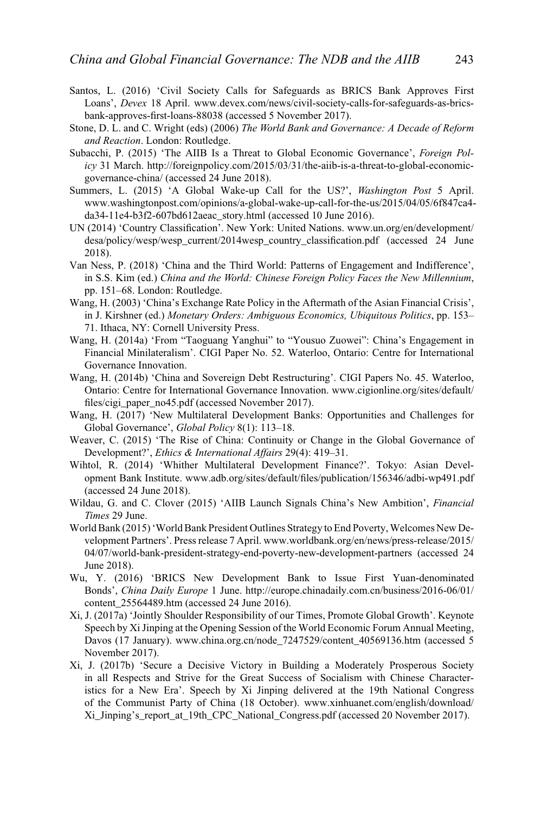- Santos, L. (2016) 'Civil Society Calls for Safeguards as BRICS Bank Approves First Loans', *Devex* 18 April. [www.devex.com/news/civil-society-calls-for-safeguards-as-brics](http://www.devex.com/news/civil-society-calls-for-safeguards-as-brics-bank-approves-first-loans-88038)[bank-approves-first-loans-88038](http://www.devex.com/news/civil-society-calls-for-safeguards-as-brics-bank-approves-first-loans-88038) (accessed 5 November 2017).
- Stone, D. L. and C. Wright (eds) (2006) *The World Bank and Governance: A Decade of Reform and Reaction*. London: Routledge.
- Subacchi, P. (2015) 'The AIIB Is a Threat to Global Economic Governance', *Foreign Policy* 31 March. [http://foreignpolicy.com/2015/03/31/the-aiib-is-a-threat-to-global-economic](http://foreignpolicy.com/2015/03/31/the-aiib-is-a-threat-to-global-economic-governance-china/)[governance-china/](http://foreignpolicy.com/2015/03/31/the-aiib-is-a-threat-to-global-economic-governance-china/) (accessed 24 June 2018).
- Summers, L. (2015) 'A Global Wake-up Call for the US?', *Washington Post* 5 April. [www.washingtonpost.com/opinions/a-global-wake-up-call-for-the-us/2015/04/05/6f847ca4](http://www.washingtonpost.com/opinions/a-global-wake-up-call-for-the-us/2015/04/05/6f847ca4-da34-11e4-b3f2-607bd612aeac_story.html) [da34-11e4-b3f2-607bd612aeac\\_story.html](http://www.washingtonpost.com/opinions/a-global-wake-up-call-for-the-us/2015/04/05/6f847ca4-da34-11e4-b3f2-607bd612aeac_story.html) (accessed 10 June 2016).
- UN (2014) 'Country Classification'. New York: United Nations. [www.un.org/en/development/](http://www.un.org/en/development/desa/policy/wesp/wesp_current/2014wesp_country_classification.pdf) [desa/policy/wesp/wesp\\_current/2014wesp\\_country\\_classification.pdf](http://www.un.org/en/development/desa/policy/wesp/wesp_current/2014wesp_country_classification.pdf) (accessed 24 June 2018).
- Van Ness, P. (2018) 'China and the Third World: Patterns of Engagement and Indifference', in S.S. Kim (ed.) *China and the World: Chinese Foreign Policy Faces the New Millennium*, pp. 151–68. London: Routledge.
- Wang, H. (2003) 'China's Exchange Rate Policy in the Aftermath of the Asian Financial Crisis', in J. Kirshner (ed.) *Monetary Orders: Ambiguous Economics, Ubiquitous Politics*, pp. 153– 71. Ithaca, NY: Cornell University Press.
- Wang, H. (2014a) 'From "Taoguang Yanghui" to "Yousuo Zuowei": China's Engagement in Financial Minilateralism'. CIGI Paper No. 52. Waterloo, Ontario: Centre for International Governance Innovation.
- Wang, H. (2014b) 'China and Sovereign Debt Restructuring'. CIGI Papers No. 45. Waterloo, Ontario: Centre for International Governance Innovation. [www.cigionline.org/sites/default/](http://www.cigionline.org/sites/default/files/cigi_paper_no45.pdf) [files/cigi\\_paper\\_no45.pdf](http://www.cigionline.org/sites/default/files/cigi_paper_no45.pdf) (accessed November 2017).
- Wang, H. (2017) 'New Multilateral Development Banks: Opportunities and Challenges for Global Governance', *Global Policy* 8(1): 113–18.
- Weaver, C. (2015) 'The Rise of China: Continuity or Change in the Global Governance of Development?', *Ethics & International Affairs* 29(4): 419–31.
- Wihtol, R. (2014) 'Whither Multilateral Development Finance?'. Tokyo: Asian Development Bank Institute. [www.adb.org/sites/default/files/publication/156346/adbi-wp491.pdf](http://www.adb.org/sites/default/files/publication/156346/adbi-wp491.pdf) (accessed 24 June 2018).
- Wildau, G. and C. Clover (2015) 'AIIB Launch Signals China's New Ambition', *Financial Times* 29 June.
- World Bank (2015) 'World Bank President Outlines Strategy to End Poverty, Welcomes New Development Partners'. Press release 7 April. [www.worldbank.org/en/news/press-release/2015/](http://www.worldbank.org/en/news/press-release/2015/04/07/world-bank-president-strategy-end-poverty-new-development-partners) [04/07/world-bank-president-strategy-end-poverty-new-development-partners](http://www.worldbank.org/en/news/press-release/2015/04/07/world-bank-president-strategy-end-poverty-new-development-partners) (accessed 24 June 2018).
- Wu, Y. (2016) 'BRICS New Development Bank to Issue First Yuan-denominated Bonds', *China Daily Europe* 1 June. [http://europe.chinadaily.com.cn/business/2016-06/01/](http://europe.chinadaily.com.cn/business/2016-06/01/content_25564489.htm) [content\\_25564489.htm](http://europe.chinadaily.com.cn/business/2016-06/01/content_25564489.htm) (accessed 24 June 2016).
- Xi, J. (2017a) 'Jointly Shoulder Responsibility of our Times, Promote Global Growth'. Keynote Speech by Xi Jinping at the Opening Session of the World Economic Forum Annual Meeting, Davos (17 January). [www.china.org.cn/node\\_7247529/content\\_40569136.htm](http://www.china.org.cn/node_7247529/content_40569136.htm) (accessed 5 November 2017).
- Xi, J. (2017b) 'Secure a Decisive Victory in Building a Moderately Prosperous Society in all Respects and Strive for the Great Success of Socialism with Chinese Characteristics for a New Era'. Speech by Xi Jinping delivered at the 19th National Congress of the Communist Party of China (18 October). [www.xinhuanet.com/english/download/](http://www.xinhuanet.com/english/download/Xi_Jinpings_report_at_19th_CPC_National_Congress.pdf) [Xi\\_Jinping's\\_report\\_at\\_19th\\_CPC\\_National\\_Congress.pdf](http://www.xinhuanet.com/english/download/Xi_Jinpings_report_at_19th_CPC_National_Congress.pdf) (accessed 20 November 2017).